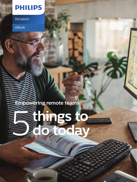## **PHILIPS**

Dictation

eBook

**Empowering remote teams**

# **Strings to do today**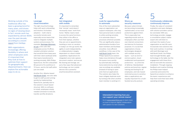#### Working outside of the traditional office has been a growing trend for many years, and shows no signs of slowing down. In fact, remote work has expanded by almost 400% over the past decade, according to a recent [report](https://www.techrepublic.com/article/how-remote-work-rose-by-400-in-the-past-decade/) from GetApp.

With organizations increasingly offering flexibility in where and when employees work, it's important that they look at how to optimize their support for geographically dispersed teams. Here we explore five actionable ways to do so.

The right cloud technology helps with quick onboarding and intuitive, frictionless adoption – both vital to successful remote work, especially across teams that need to integrate multiple systems and processes. For example, Reminger Attorneys [at Law,](https://www.dictation.philips.com/ca/about/press/press/speech-processing-solutions-helps-reminger-attorneys/) a firm with 400 employees across 14 offices, needed a dictation solution that would let them keep pace with their client workload while their teams transitioned to working remotely. With Philips SpeechLive, the firm onboarded 80 percent of its workforce in 72 hours, and its full staff within just one week.

## **Leverage cloud innovation** 1

Another firm, Atlanta-based [Hall Booth Smith,](https://www.dictation.philips.com/se/success-stories/success/an-approach-for-inclusivity-this-law-firms-tech-solutions-help-every-team-member-stay-productive/) was also able to get its staff up and running quickly by implementing SpeechLive, partially due to the solution's cloud-based structure. With no software to install, employees simply needed a browser to execute, transfer and file dictations.

### **Get integrated with mobile** 2

It's important to remember that "remote" work doesn't necessarily mean "work from home." Rather, teams need to access the same functions they utilize in the office or from their laptops, whether they are out on appointments, traveling or even on vacation. In today's on-the-go world, the agility to work independently or collaboratively is largely dependent on robust mobile capabilities. Applications for integrated voice note capture, document creation, and secure file sharing and storage, are just a few ways that advanced technology can turn mobile devices into a powerful anytime/anywhere assistant.

#### **Look for opportunities to automate**

One of the most substantial ways an organization can support employees, who may have personal tasks to attend to while working remotely, is to automate steps in processes wherever possible. This can significantly reduce administrative burdens from team members and facilitate smoother, more efficient workflows. In the case of the [Hall Booth Smith](https://www.dictation.philips.com/us/success-stories/success/an-approach-for-inclusivity-this-law-firms-tech-solutions-help-every-team-member-stay-productive/) team, the Philips SpeechLive solution helps move dictations through the queue more quickly by automatically notifying transcriptionists by email when new recordings are available (instead of having to open and check an application). The solution also helps the team mitigate duplicate work by locking a file when another team member is working in it.

## 3

#### **Shore up security measures**

Because cybercriminals are becoming increasingly sophisticated, so too must protections against them. This is especially true regarding remote work as employees often use their own internet connections and devices for business purposes. It's crucial that organizations choose technologies designed with multiple security layers – such as end-toend encryption, cloudenablement and password protections – as a first line of defense. Standardized policies and practices, regular training and testing for all employees, and role-based restricted access to sensitive data or applications are equally important for a multifaceted security posture.

## 4

### **Continuously collaborate, continuously improve** 5

Finally, the value of consistent evaluation and open dialogue with solution providers cannot be overstated. With any technology provider, engage a consultative subject matter expert who will listen to and learn the needs of your organization as real-life users incorporate new solutions into their work routines. In working with both Reminger and Hall Booth Smith, the Philips team brought flexible, agile technology to the table, but the engagement with these firms did not end with the solution's installation. Through ongoing feedback and creative thinking, the Philips team helped customize and evolve the SpeechLive solution to enhance the teams' experiences and help them work their best while operating remotely.

#### **Interested in learning how you can support your remote teams?**

Go to [www.speechlive.com](http://www.speechlive.com) to learn more on how to improve digital collaboration with speech-to-text solutions.